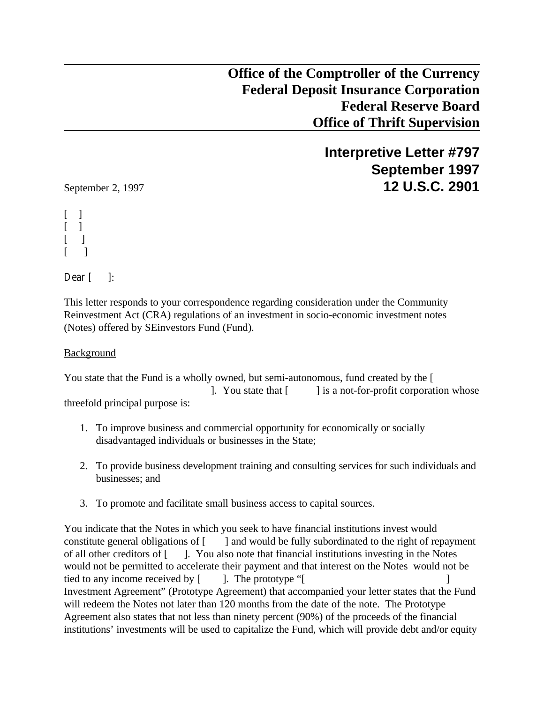**Office of the Comptroller of the Currency Federal Deposit Insurance Corporation Federal Reserve Board Office of Thrift Supervision**

**Interpretive Letter #797 September 1997** September 2, 1997 **12 U.S.C. 2901**

[ ]  $\lceil$  1  $\lceil$   $\rceil$  $\lceil$   $\rceil$ 

Dear  $\lceil \cdot \rceil$ :

This letter responds to your correspondence regarding consideration under the Community Reinvestment Act (CRA) regulations of an investment in socio-economic investment notes (Notes) offered by SEinvestors Fund (Fund).

Background

You state that the Fund is a wholly owned, but semi-autonomous, fund created by the [ ]. You state that [ ] is a not-for-profit corporation whose threefold principal purpose is:

- 1. To improve business and commercial opportunity for economically or socially disadvantaged individuals or businesses in the State;
- 2. To provide business development training and consulting services for such individuals and businesses; and
- 3. To promote and facilitate small business access to capital sources.

You indicate that the Notes in which you seek to have financial institutions invest would constitute general obligations of [ ] and would be fully subordinated to the right of repayment of all other creditors of [ ]. You also note that financial institutions investing in the Notes would not be permitted to accelerate their payment and that interest on the Notes would not be tied to any income received by  $\lceil \cdot \rceil$ . The prototype " $\lceil \cdot \rceil$ Investment Agreement" (Prototype Agreement) that accompanied your letter states that the Fund will redeem the Notes not later than 120 months from the date of the note. The Prototype Agreement also states that not less than ninety percent (90%) of the proceeds of the financial institutions' investments will be used to capitalize the Fund, which will provide debt and/or equity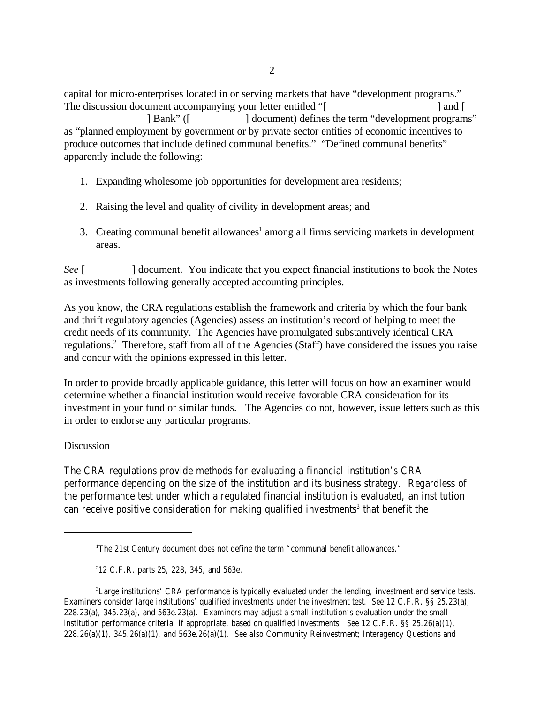capital for micro-enterprises located in or serving markets that have "development programs." The discussion document accompanying your letter entitled "[ ] and [

| Bank" ( $\lceil$  document) defines the term "development programs" as "planned employment by government or by private sector entities of economic incentives to produce outcomes that include defined communal benefits." "Defined communal benefits" apparently include the following:

- 1. Expanding wholesome job opportunities for development area residents;
- 2. Raising the level and quality of civility in development areas; and
- 3. Creating communal benefit allowances<sup>1</sup> among all firms servicing markets in development areas.

*See* [  $\Box$  **]** document. You indicate that you expect financial institutions to book the Notes as investments following generally accepted accounting principles.

As you know, the CRA regulations establish the framework and criteria by which the four bank and thrift regulatory agencies (Agencies) assess an institution's record of helping to meet the credit needs of its community. The Agencies have promulgated substantively identical CRA regulations.<sup>2</sup> Therefore, staff from all of the Agencies (Staff) have considered the issues you raise and concur with the opinions expressed in this letter.

In order to provide broadly applicable guidance, this letter will focus on how an examiner would determine whether a financial institution would receive favorable CRA consideration for its investment in your fund or similar funds. The Agencies do not, however, issue letters such as this in order to endorse any particular programs.

## Discussion

The CRA regulations provide methods for evaluating a financial institution's CRA performance depending on the size of the institution and its business strategy. Regardless of the performance test under which a regulated financial institution is evaluated, an institution can receive positive consideration for making qualified investments<sup>3</sup> that benefit the

<sup>&</sup>lt;sup>1</sup>The 21st Century document does not define the term "communal benefit allowances."

 $212$  C.F.R. parts 25, 228, 345, and 563e.

<sup>&</sup>lt;sup>3</sup>Large institutions' CRA performance is typically evaluated under the lending, investment and service tests. Examiners consider large institutions' qualified investments under the investment test. *See* 12 C.F.R. §§ 25.23(a), 228.23(a), 345.23(a), and 563e.23(a). Examiners may adjust a small institution's evaluation under the small institution performance criteria, if appropriate, based on qualified investments. *See* 12 C.F.R. §§ 25.26(a)(1), 228.26(a)(1), 345.26(a)(1), and 563e.26(a)(1). *See also* Community Reinvestment; Interagency Questions and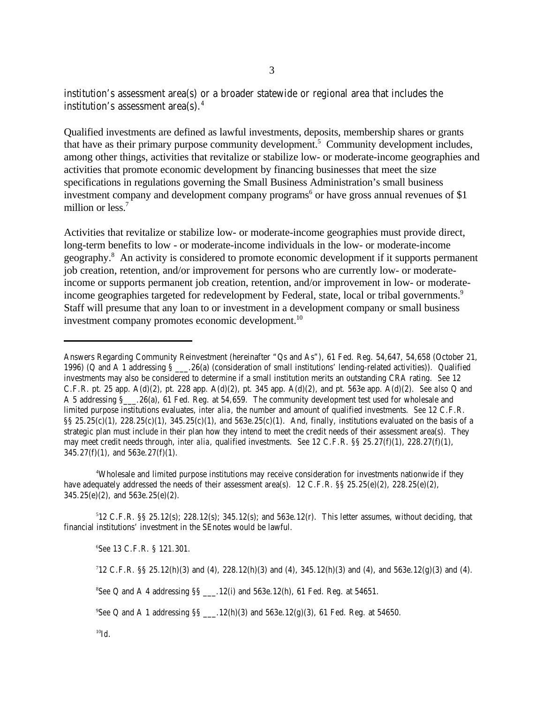institution's assessment area(s) or a broader statewide or regional area that includes the institution's assessment area(s). $4$ 

Qualified investments are defined as lawful investments, deposits, membership shares or grants that have as their primary purpose community development.<sup>5</sup> Community development includes, among other things, activities that revitalize or stabilize low- or moderate-income geographies and activities that promote economic development by financing businesses that meet the size specifications in regulations governing the Small Business Administration's small business investment company and development company programs<sup>6</sup> or have gross annual revenues of \$1 million or less.<sup>7</sup>

Activities that revitalize or stabilize low- or moderate-income geographies must provide direct, long-term benefits to low - or moderate-income individuals in the low- or moderate-income geography.<sup>8</sup> An activity is considered to promote economic development if it supports permanent job creation, retention, and/or improvement for persons who are currently low- or moderateincome or supports permanent job creation, retention, and/or improvement in low- or moderateincome geographies targeted for redevelopment by Federal, state, local or tribal governments.<sup>9</sup> Staff will presume that any loan to or investment in a development company or small business investment company promotes economic development.<sup>10</sup>

Wholesale and limited purpose institutions may receive consideration for investments nationwide if they <sup>4</sup> have adequately addressed the needs of their assessment area(s). 12 C.F.R. §§ 25.25(e)(2), 228.25(e)(2),  $345.25(e)(2)$ , and  $563e.25(e)(2)$ .

 $12$  C.F.R. §§ 25.12(s); 228.12(s); 345.12(s); and 563e.12(r). This letter assumes, without deciding, that financial institutions' investment in the SEnotes would be lawful.

*See* 13 C.F.R. § 121.301. <sup>6</sup>

Answers Regarding Community Reinvestment (hereinafter "Qs and As"), 61 Fed. Reg. 54,647, 54,658 (October 21, 1996) (Q and A 1 addressing § \_\_\_.26(a) (consideration of small institutions' lending-related activities)). Qualified investments may also be considered to determine if a small institution merits an outstanding CRA rating. *See* 12 C.F.R. pt. 25 app. A(d)(2), pt. 228 app. A(d)(2), pt. 345 app. A(d)(2), and pt. 563e app. A(d)(2). *See also* Q and A 5 addressing §\_\_\_.26(a), 61 Fed. Reg. at 54,659. The community development test used for wholesale and limited purpose institutions evaluates, *inter alia*, the number and amount of qualified investments. *See* 12 C.F.R.  $\S$ §§ 25.25(c)(1), 228.25(c)(1), 345.25(c)(1), and 563e.25(c)(1). And, finally, institutions evaluated on the basis of a strategic plan must include in their plan how they intend to meet the credit needs of their assessment area(s). They may meet credit needs through, *inter alia,* qualified investments. *See* 12 C.F.R. §§ 25.27(f)(1), 228.27(f)(1),  $345.27(f)(1)$ , and  $563e.27(f)(1)$ .

 $12$  C.F.R. §§ 25.12(h)(3) and (4), 228.12(h)(3) and (4), 345.12(h)(3) and (4), and 563e.12(g)(3) and (4).

 ${}^{8}$ See Q and A 4 addressing  $\S$ s .12(i) and 563e.12(h), 61 Fed. Reg. at 54651.

<sup>&</sup>lt;sup>9</sup>See Q and A 1 addressing SS \_\_\_\_.12(h)(3) and 563e.12(g)(3), 61 Fed. Reg. at 54650.

*Id*. 10